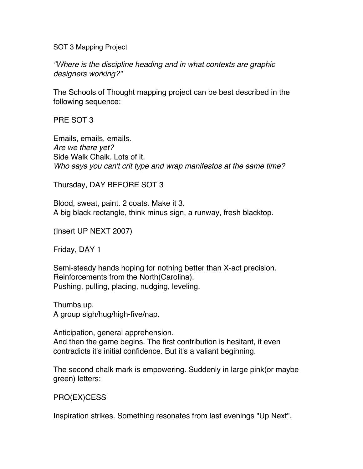SOT 3 Mapping Project

"Where is the discipline heading and in what contexts are graphic designers working?"

The Schools of Thought mapping project can be best described in the following sequence:

PRE SOT 3

Emails, emails, emails. Are we there yet? Side Walk Chalk. Lots of it. Who says you can't crit type and wrap manifestos at the same time?

Thursday, DAY BEFORE SOT 3

Blood, sweat, paint. 2 coats. Make it 3. A big black rectangle, think minus sign, a runway, fresh blacktop.

(Insert UP NEXT 2007)

Friday, DAY 1

Semi-steady hands hoping for nothing better than X-act precision. Reinforcements from the North(Carolina). Pushing, pulling, placing, nudging, leveling.

Thumbs up. A group sigh/hug/high-five/nap.

Anticipation, general apprehension. And then the game begins. The first contribution is hesitant, it even contradicts it's initial confidence. But it's a valiant beginning.

The second chalk mark is empowering. Suddenly in large pink(or maybe green) letters:

## PRO(EX)CESS

Inspiration strikes. Something resonates from last evenings "Up Next".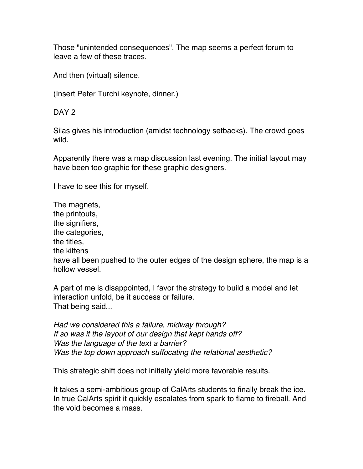Those "unintended consequences". The map seems a perfect forum to leave a few of these traces.

And then (virtual) silence.

(Insert Peter Turchi keynote, dinner.)

DAY<sub>2</sub>

Silas gives his introduction (amidst technology setbacks). The crowd goes wild.

Apparently there was a map discussion last evening. The initial layout may have been too graphic for these graphic designers.

I have to see this for myself.

The magnets, the printouts, the signifiers, the categories, the titles, the kittens have all been pushed to the outer edges of the design sphere, the map is a hollow vessel.

A part of me is disappointed, I favor the strategy to build a model and let interaction unfold, be it success or failure. That being said...

Had we considered this a failure, midway through? If so was it the layout of our design that kept hands off? Was the language of the text a barrier? Was the top down approach suffocating the relational aesthetic?

This strategic shift does not initially yield more favorable results.

It takes a semi-ambitious group of CalArts students to finally break the ice. In true CalArts spirit it quickly escalates from spark to flame to fireball. And the void becomes a mass.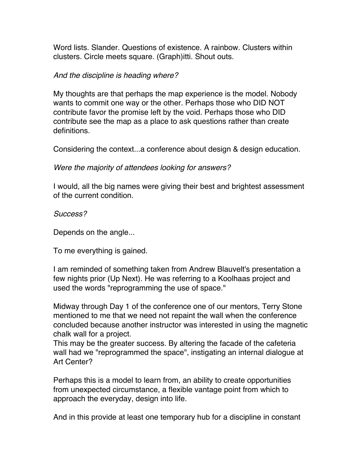Word lists. Slander. Questions of existence. A rainbow. Clusters within clusters. Circle meets square. (Graph)itti. Shout outs.

## And the discipline is heading where?

My thoughts are that perhaps the map experience is the model. Nobody wants to commit one way or the other. Perhaps those who DID NOT contribute favor the promise left by the void. Perhaps those who DID contribute see the map as a place to ask questions rather than create definitions.

Considering the context...a conference about design & design education.

Were the majority of attendees looking for answers?

I would, all the big names were giving their best and brightest assessment of the current condition.

Success?

Depends on the angle...

To me everything is gained.

I am reminded of something taken from Andrew Blauvelt's presentation a few nights prior (Up Next). He was referring to a Koolhaas project and used the words "reprogramming the use of space."

Midway through Day 1 of the conference one of our mentors, Terry Stone mentioned to me that we need not repaint the wall when the conference concluded because another instructor was interested in using the magnetic chalk wall for a project.

This may be the greater success. By altering the facade of the cafeteria wall had we "reprogrammed the space", instigating an internal dialogue at Art Center?

Perhaps this is a model to learn from, an ability to create opportunities from unexpected circumstance, a flexible vantage point from which to approach the everyday, design into life.

And in this provide at least one temporary hub for a discipline in constant